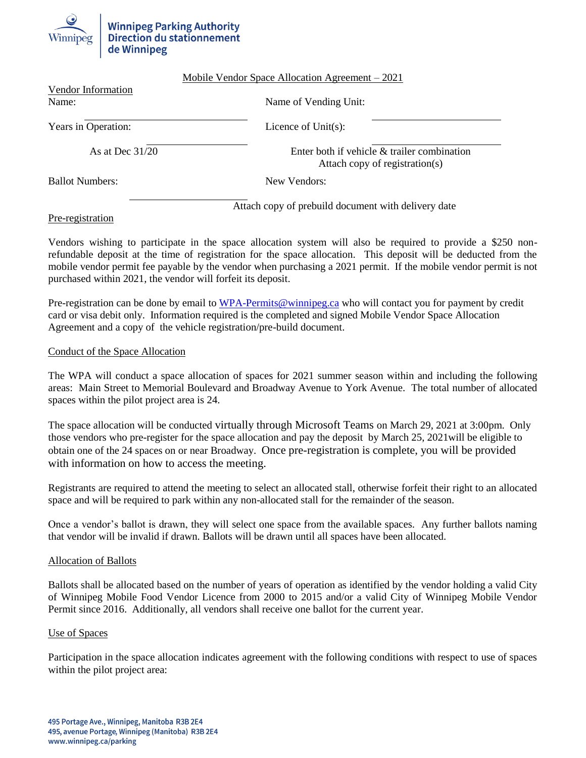# **Winnipeg Parking Authority<br>Direction du stationnement** de Winnipeg

|                             | Mobile Vendor Space Allocation Agreement $-2021$                              |
|-----------------------------|-------------------------------------------------------------------------------|
| Vendor Information<br>Name: | Name of Vending Unit:                                                         |
| Years in Operation:         | Licence of $Unit(s)$ :                                                        |
| As at Dec $31/20$           | Enter both if vehicle & trailer combination<br>Attach copy of registration(s) |
| <b>Ballot Numbers:</b>      | New Vendors:                                                                  |
|                             | Attach copy of prebuild document with delivery date                           |

## Pre-registration

Vendors wishing to participate in the space allocation system will also be required to provide a \$250 nonrefundable deposit at the time of registration for the space allocation. This deposit will be deducted from the mobile vendor permit fee payable by the vendor when purchasing a 2021 permit. If the mobile vendor permit is not purchased within 2021, the vendor will forfeit its deposit.

Pre-registration can be done by email to [WPA-Permits@winnipeg.ca](mailto:WPA-Permits@winnipeg.ca) who will contact you for payment by credit card or visa debit only. Information required is the completed and signed Mobile Vendor Space Allocation Agreement and a copy of the vehicle registration/pre-build document.

### Conduct of the Space Allocation

The WPA will conduct a space allocation of spaces for 2021 summer season within and including the following areas: Main Street to Memorial Boulevard and Broadway Avenue to York Avenue. The total number of allocated spaces within the pilot project area is 24.

The space allocation will be conducted virtually through Microsoft Teams on March 29, 2021 at 3:00pm. Only those vendors who pre-register for the space allocation and pay the deposit by March 25, 2021will be eligible to obtain one of the 24 spaces on or near Broadway. Once pre-registration is complete, you will be provided with information on how to access the meeting.

Registrants are required to attend the meeting to select an allocated stall, otherwise forfeit their right to an allocated space and will be required to park within any non-allocated stall for the remainder of the season.

Once a vendor's ballot is drawn, they will select one space from the available spaces. Any further ballots naming that vendor will be invalid if drawn. Ballots will be drawn until all spaces have been allocated.

### Allocation of Ballots

Ballots shall be allocated based on the number of years of operation as identified by the vendor holding a valid City of Winnipeg Mobile Food Vendor Licence from 2000 to 2015 and/or a valid City of Winnipeg Mobile Vendor Permit since 2016. Additionally, all vendors shall receive one ballot for the current year.

### Use of Spaces

Participation in the space allocation indicates agreement with the following conditions with respect to use of spaces within the pilot project area: